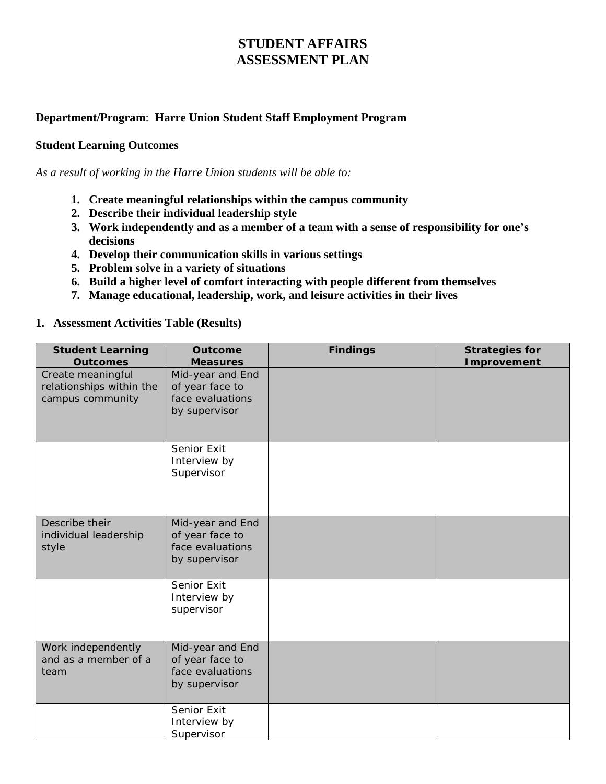## **STUDENT AFFAIRS ASSESSMENT PLAN**

## **Department/Program**: **Harre Union Student Staff Employment Program**

## **Student Learning Outcomes**

*As a result of working in the Harre Union students will be able to:*

- **1. Create meaningful relationships within the campus community**
- **2. Describe their individual leadership style**
- **3. Work independently and as a member of a team with a sense of responsibility for one's decisions**
- **4. Develop their communication skills in various settings**
- **5. Problem solve in a variety of situations**
- **6. Build a higher level of comfort interacting with people different from themselves**
- **7. Manage educational, leadership, work, and leisure activities in their lives**

## **1. Assessment Activities Table (Results)**

| <b>Student Learning</b><br><b>Outcomes</b>                        | <b>Outcome</b><br><b>Measures</b>                                        | <b>Findings</b> | <b>Strategies for</b><br><b>Improvement</b> |
|-------------------------------------------------------------------|--------------------------------------------------------------------------|-----------------|---------------------------------------------|
| Create meaningful<br>relationships within the<br>campus community | Mid-year and End<br>of year face to<br>face evaluations<br>by supervisor |                 |                                             |
|                                                                   | Senior Exit<br>Interview by<br>Supervisor                                |                 |                                             |
| Describe their<br>individual leadership<br>style                  | Mid-year and End<br>of year face to<br>face evaluations<br>by supervisor |                 |                                             |
|                                                                   | Senior Exit<br>Interview by<br>supervisor                                |                 |                                             |
| Work independently<br>and as a member of a<br>team                | Mid-year and End<br>of year face to<br>face evaluations<br>by supervisor |                 |                                             |
|                                                                   | Senior Exit<br>Interview by<br>Supervisor                                |                 |                                             |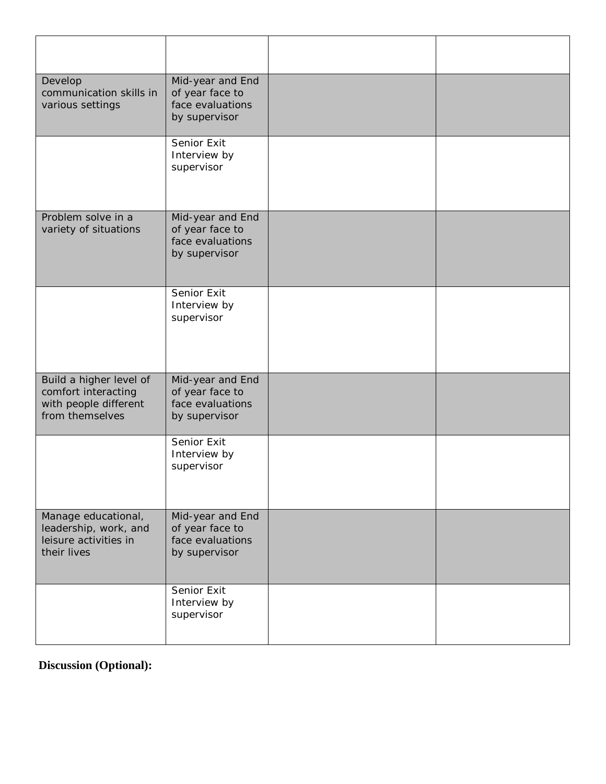| Develop<br>communication skills in<br>various settings                                     | Mid-year and End<br>of year face to<br>face evaluations<br>by supervisor |  |
|--------------------------------------------------------------------------------------------|--------------------------------------------------------------------------|--|
|                                                                                            | Senior Exit<br>Interview by<br>supervisor                                |  |
| Problem solve in a<br>variety of situations                                                | Mid-year and End<br>of year face to<br>face evaluations<br>by supervisor |  |
|                                                                                            | Senior Exit<br>Interview by<br>supervisor                                |  |
| Build a higher level of<br>comfort interacting<br>with people different<br>from themselves | Mid-year and End<br>of year face to<br>face evaluations<br>by supervisor |  |
|                                                                                            | Senior Exit<br>Interview by<br>supervisor                                |  |
| Manage educational,<br>leadership, work, and<br>leisure activities in<br>their lives       | Mid-year and End<br>of year face to<br>face evaluations<br>by supervisor |  |
|                                                                                            | Senior Exit<br>Interview by<br>supervisor                                |  |

**Discussion (Optional):**